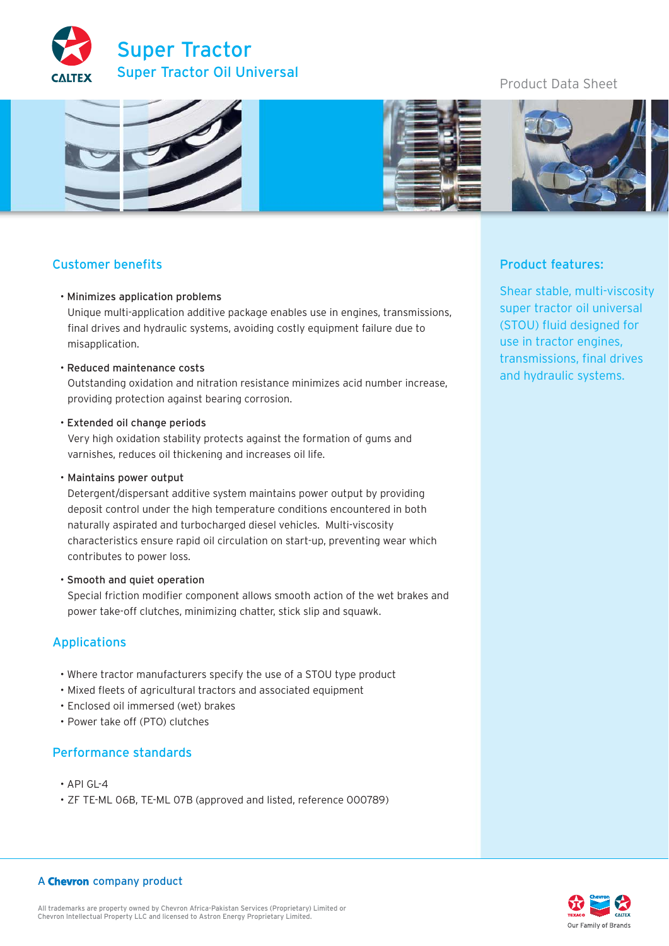

# Product Data Sheet



# Customer benefits

### • Minimizes application problems

Unique multi-application additive package enables use in engines, transmissions, final drives and hydraulic systems, avoiding costly equipment failure due to misapplication.

• Reduced maintenance costs

Outstanding oxidation and nitration resistance minimizes acid number increase, providing protection against bearing corrosion.

• Extended oil change periods

Very high oxidation stability protects against the formation of gums and varnishes, reduces oil thickening and increases oil life.

• Maintains power output

Detergent/dispersant additive system maintains power output by providing deposit control under the high temperature conditions encountered in both naturally aspirated and turbocharged diesel vehicles. Multi-viscosity characteristics ensure rapid oil circulation on start-up, preventing wear which contributes to power loss.

• Smooth and quiet operation

Special friction modifier component allows smooth action of the wet brakes and power take-off clutches, minimizing chatter, stick slip and squawk.

### Applications

- Where tractor manufacturers specify the use of a STOU type product
- Mixed fleets of agricultural tractors and associated equipment
- Enclosed oil immersed (wet) brakes
- Power take off (PTO) clutches

### Performance standards

- API GL-4
- ZF TE-ML 06B, TE-ML 07B (approved and listed, reference 000789)

## Product features:

Shear stable, multi-viscosity super tractor oil universal (STOU) fluid designed for use in tractor engines, transmissions, final drives and hydraulic systems.

# Our Family of Brands

### A Chevron company product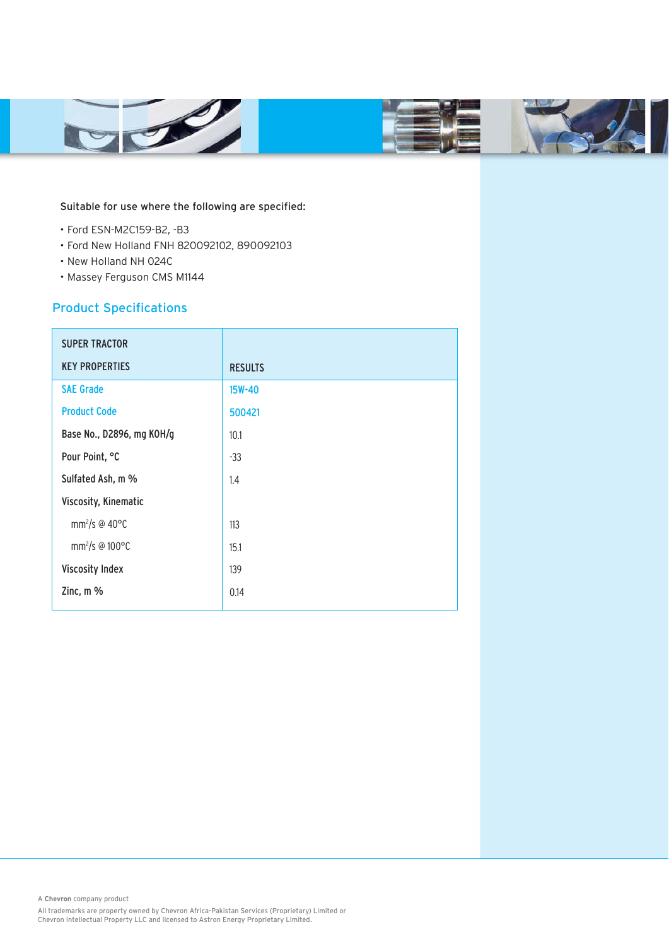

### Suitable for use where the following are specified:

- Ford ESN-M2C159-B2, -B3
- Ford New Holland FNH 820092102, 890092103
- New Holland NH 024C
- Massey Ferguson CMS M1144

# Product Specifications

| <b>SUPER TRACTOR</b>                |                |
|-------------------------------------|----------------|
| <b>KEY PROPERTIES</b>               | <b>RESULTS</b> |
| <b>SAE Grade</b>                    | 15W-40         |
| <b>Product Code</b>                 | 500421         |
| Base No., D2896, mg KOH/g           | 10.1           |
| Pour Point, °C                      | $-33$          |
| Sulfated Ash, m %                   | 1.4            |
| Viscosity, Kinematic                |                |
| mm <sup>2</sup> /s @ 40 $\degree$ C | 113            |
| mm <sup>2</sup> /s @ 100°C          | 15.1           |
| <b>Viscosity Index</b>              | 139            |
| Zinc, m %                           | 0.14           |

A **Chevron** company product